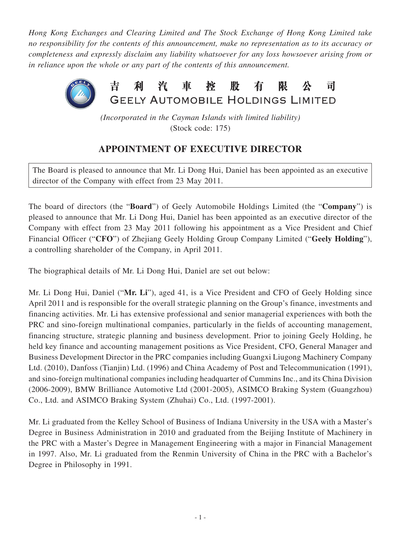*Hong Kong Exchanges and Clearing Limited and The Stock Exchange of Hong Kong Limited take no responsibility for the contents of this announcement, make no representation as to its accuracy or completeness and expressly disclaim any liability whatsoever for any loss howsoever arising from or in reliance upon the whole or any part of the contents of this announcement.*



*(Incorporated in the Cayman Islands with limited liability)* (Stock code: 175)

## **APPOINTMENT OF EXECUTIVE DIRECTOR**

The Board is pleased to announce that Mr. Li Dong Hui, Daniel has been appointed as an executive director of the Company with effect from 23 May 2011.

The board of directors (the "**Board**") of Geely Automobile Holdings Limited (the "**Company**") is pleased to announce that Mr. Li Dong Hui, Daniel has been appointed as an executive director of the Company with effect from 23 May 2011 following his appointment as a Vice President and Chief Financial Officer ("**CFO**") of Zhejiang Geely Holding Group Company Limited ("**Geely Holding**"), a controlling shareholder of the Company, in April 2011.

The biographical details of Mr. Li Dong Hui, Daniel are set out below:

Mr. Li Dong Hui, Daniel ("**Mr. Li**"), aged 41, is a Vice President and CFO of Geely Holding since April 2011 and is responsible for the overall strategic planning on the Group's finance, investments and financing activities. Mr. Li has extensive professional and senior managerial experiences with both the PRC and sino-foreign multinational companies, particularly in the fields of accounting management, financing structure, strategic planning and business development. Prior to joining Geely Holding, he held key finance and accounting management positions as Vice President, CFO, General Manager and Business Development Director in the PRC companies including Guangxi Liugong Machinery Company Ltd. (2010), Danfoss (Tianjin) Ltd. (1996) and China Academy of Post and Telecommunication (1991), and sino-foreign multinational companies including headquarter of Cummins Inc., and its China Division (2006-2009), BMW Brilliance Automotive Ltd (2001-2005), ASIMCO Braking System (Guangzhou) Co., Ltd. and ASIMCO Braking System (Zhuhai) Co., Ltd. (1997-2001).

Mr. Li graduated from the Kelley School of Business of Indiana University in the USA with a Master's Degree in Business Administration in 2010 and graduated from the Beijing Institute of Machinery in the PRC with a Master's Degree in Management Engineering with a major in Financial Management in 1997. Also, Mr. Li graduated from the Renmin University of China in the PRC with a Bachelor's Degree in Philosophy in 1991.